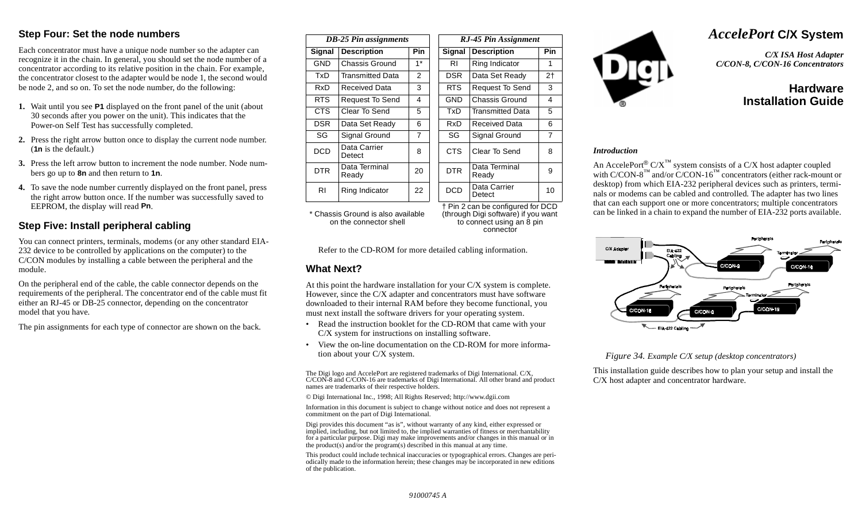### **Step Four: Set the node numbers**

Each concentrator must have a unique node number so the adapter can recognize it in the chain. In general, you should set the node number of a concentrator according to its relative position in the chain. For example, the concentrator closest to the adapter would be node 1, the second would be node 2, and so on. To set the node number, do the following:

- **1.** Wait until you see **P1** displayed on the front panel of the unit (about 30 seconds after you power on the unit). This indicates that the Power-on Self Test has successfully completed.
- **2.** Press the right arrow button once to display the current node number. (**1n** is the default.)
- **3.** Press the left arrow button to increment the node number. Node numbers go up to **8n** and then return to **1n**.
- **4.** To save the node number currently displayed on the front panel, press the right arrow button once. If the number was successfully saved to EEPROM, the display will read **Pn**.

## **Step Five: Install peripheral cabling**

You can connect printers, terminals, modems (or any other standard EIA-232 device to be controlled by applications on the computer) to the C/CON modules by installing a cable between the peripheral and the module.

On the peripheral end of the cable, the cable connector depends on the requirements of the peripheral. The concentrator end of the cable must fit either an RJ-45 or DB-25 connector, depending on the concentrator model that you have.

The pin assignments for each type of connector are shown on the back.

| <b>DB-25 Pin assignments</b> |                         |                | RJ-45 Pin Assignment |                         |                |  |  |
|------------------------------|-------------------------|----------------|----------------------|-------------------------|----------------|--|--|
| Signal                       | <b>Description</b>      | Pin            | <b>Signal</b>        | <b>Description</b>      | Pin            |  |  |
| <b>GND</b>                   | Chassis Ground          | $1*$           | RI                   | Ring Indicator          | 1              |  |  |
| TxD                          | <b>Transmitted Data</b> | 2              | <b>DSR</b>           | Data Set Ready          | 2 <sub>1</sub> |  |  |
| RxD.                         | Received Data           | 3              | RTS.                 | Request To Send         | 3              |  |  |
| RTS.                         | Request To Send         | 4              | GND                  | <b>Chassis Ground</b>   | 4              |  |  |
| CTS                          | Clear To Send           | 5              | TxD                  | <b>Transmitted Data</b> | 5              |  |  |
| DSR.                         | Data Set Ready          | 6              | RxD                  | Received Data           | 6              |  |  |
| SG                           | Signal Ground           | $\overline{7}$ | SG                   | Signal Ground           | $\overline{7}$ |  |  |
| <b>DCD</b>                   | Data Carrier<br>Detect  | 8              | <b>CTS</b>           | Clear To Send           | 8              |  |  |
| DTR.                         | Data Terminal<br>Ready  | 20             | <b>DTR</b>           | Data Terminal<br>Ready  | 9              |  |  |
| RI                           | Ring Indicator          | 22             | <b>DCD</b>           | Data Carrier<br>Detect  | 10             |  |  |
|                              |                         |                |                      |                         |                |  |  |

\* Chassis Ground is also available on the connector shell

† Pin 2 can be configured for DCD (through Digi software) if you want to connect using an 8 pin connector

Refer to the CD-ROM for more detailed cabling information.

### **What Next?**

At this point the hardware installation for your C/X system is complete. However, since the C/X adapter and concentrators must have software downloaded to their internal RAM before they become functional, you must next install the software drivers for your operating system.

- Read the instruction booklet for the CD-ROM that came with your C/X system for instructions on installing software.
- View the on-line documentation on the CD-ROM for more information about your C/X system.

The Digi logo and AccelePort are registered trademarks of Digi International. C/X, C/CON-8 and C/CON-16 are trademarks of Digi International. All other brand and product names are trademarks of their respective holders.

© Digi International Inc., 1998; All Rights Reserved; http://www.dgii.com

Information in this document is subject to change without notice and does not represent a commitment on the part of Digi International.

Digi provides this document "as is", without warranty of any kind, either expressed or implied, including, but not limited to, the implied warranties of fitness or merchantability for a particular purpose. Digi may make improvements and/or changes in this manual or in the product(s) and/or the program(s) described in this manual at any time.

This product could include technical inaccuracies or typographical errors. Changes are periodically made to the information herein; these changes may be incorporated in new editions of the publication.



# *AccelePort* **C/X System**

*C/X ISA Host Adapter C/CON-8, C/CON-16 Concentrators*

## **HardwareInstallation Guide**

#### *Introduction*

An AccelePort®  $C/X^{\mathbb{N}}$  system consists of a  $C/X$  host adapter coupled with  $C/CON-8<sup>TM</sup>$  and/or  $C/CON-16<sup>TM</sup>$  concentrators (either rack-mount or desktop) from which EIA-232 peripheral devices such as printers, terminals or modems can be cabled and controlled. The adapter has two lines that can each support one or more concentrators; multiple concentrators can be linked in a chain to expand the number of EIA-232 ports available.



*Figure 34. Example C/X setup (desktop concentrators)*

This installation guide describes how to plan your setup and install the C/X host adapter and concentrator hardware.